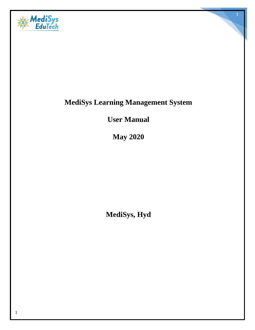

# **MediSys Learning Management System**

**User Manual**

**May 2020**

**MediSys, Hyd**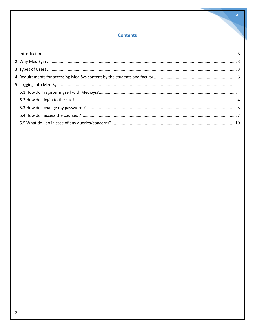## **Contents**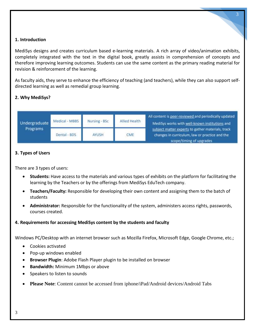#### <span id="page-2-0"></span>**1. Introduction**

MediSys designs and creates curriculum based e-learning materials. A rich array of video/animation exhibits, completely integrated with the text in the digital book, greatly assists in comprehension of concepts and therefore improving learning outcomes. Students can use the same content as the primary reading material for revision & reinforcement of the learning.

3

As faculty aids, they serve to enhance the efficiency of teaching (and teachers), while they can also support selfdirected learning as well as remedial group learning.

#### <span id="page-2-1"></span>**2. Why MediSys?**



#### <span id="page-2-2"></span>**3. Types of Users**

There are 3 types of users:

- **Students:** Have access to the materials and various types of exhibits on the platform for facilitating the learning by the Teachers or by the offerings from MediSys EduTech company.
- **Teachers/Faculty:** Responsible for developing their own content and assigning them to the batch of students
- **Administrator:** Responsible for the functionality of the system, administers access rights, passwords, courses created.

#### <span id="page-2-3"></span>**4. Requirements for accessing MediSys content by the students and faculty**

Windows PC/Desktop with an internet browser such as Mozilla Firefox, Microsoft Edge, Google Chrome, etc.;

- Cookies activated
- Pop-up windows enabled
- **Browser Plugin**: Adobe Flash Player plugin to be installed on browser
- **Bandwidth:** Minimum 1Mbps or above
- Speakers to listen to sounds
- **Please Note**: Content cannot be accessed from iphone/iPad/Android devices/Android Tabs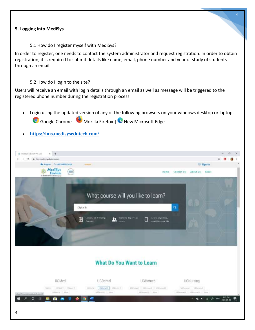#### <span id="page-3-0"></span>**5. Logging into MediSys**

5.1 How do I register myself with MediSys?

<span id="page-3-1"></span>In order to register, one needs to contact the system administrator and request registration. In order to obtain registration, it is required to submit details like name, email, phone number and year of study of students through an email.

#### 5.2 How do I login to the site?

<span id="page-3-2"></span>Users will receive an email with login details through an email as well as message will be triggered to the registered phone number during the registration process.

- Login using the updated version of any of the following browsers on your windows desktop or laptop. Google Chrome | Mozilla Firefox | C New Microsoft Edge
- **[https://lms.medisysedutech.com/](https://institution.medisysedutech.com/)**



### **What Do You Want to Learn**

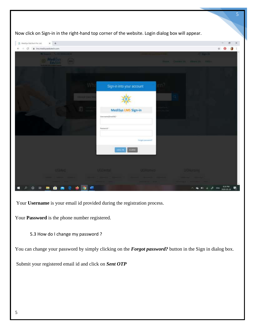| Meetiya Edullech Pet Ltd. |                     |                                              |                 |                  |                               |
|---------------------------|---------------------|----------------------------------------------|-----------------|------------------|-------------------------------|
| Imumelisysedutech.com     |                     |                                              |                 |                  | Ř                             |
| Mediays                   |                     |                                              |                 |                  | <b>ANGELO</b><br><b>COLOR</b> |
|                           |                     |                                              |                 |                  |                               |
|                           |                     | Sign-in into your account                    |                 |                  |                               |
|                           | <b>SHILLER CAME</b> |                                              |                 |                  |                               |
|                           | a                   | MediSys LMS Sign-in<br>Uvername(firmalisi) * |                 |                  |                               |
|                           |                     | Password <sup>1</sup>                        |                 |                  |                               |
|                           |                     |                                              | Ferget assowed? |                  |                               |
|                           |                     | <b>CLOSE</b><br>100-11                       |                 |                  |                               |
| <b>UGMed</b>              |                     | <b>UGS</b> edgall                            | UGHtHies        | <b>UIPJUGHIO</b> |                               |

5

Your **Username** is your email id provided during the registration process.

Your **Password** is the phone number registered.

5.3 How do I change my password ?

<span id="page-4-0"></span>You can change your password by simply clicking on the **Forgot password?** button in the Sign in dialog box.

Submit your registered email id and click on *Sent OTP*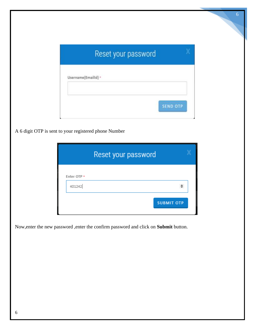|                     | Reset your password |                 |
|---------------------|---------------------|-----------------|
| Username(EmailId) * |                     |                 |
|                     |                     | <b>SEND OTP</b> |

6

A 6 digit OTP is sent to your registered phone Number

| <b>SUBMIT OTP</b> |
|-------------------|

Now,enter the new password ,enter the confirm password and click on **Submit** button.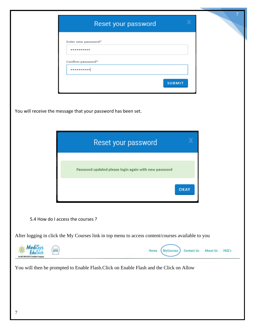<span id="page-6-0"></span>

|                                 | ×<br>Reset your password                                                                          |
|---------------------------------|---------------------------------------------------------------------------------------------------|
|                                 | Enter new password*<br>                                                                           |
|                                 | Confirm password*<br>                                                                             |
|                                 | <b>SUBMIT</b>                                                                                     |
|                                 | You will receive the message that your password has been set.                                     |
|                                 |                                                                                                   |
|                                 | Reset your password                                                                               |
|                                 | Password updated please login again with new password                                             |
|                                 | OKAY                                                                                              |
|                                 | 5.4 How do I access the courses ?                                                                 |
|                                 | After logging in click the My Courses link in top menu to access content/courses available to you |
| a ISO 5001-2015 Certified Compa | Contact Us<br>About Us<br>FAQ's<br>Home<br><b>MyCourses</b>                                       |
|                                 | You will then be prompted to Enable Flash. Click on Enable Flash and the Click on Allow           |
|                                 |                                                                                                   |
|                                 |                                                                                                   |
| 7                               |                                                                                                   |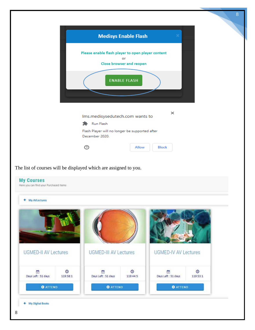

| <b>My AVLectures</b> |
|----------------------|
|----------------------|

| <b>UGMED-II AV Lectures</b> |               | <b>UGMED-III AV Lectures</b> |                     | <b>UGMED-IV AV Lectures</b> |                      |
|-----------------------------|---------------|------------------------------|---------------------|-----------------------------|----------------------|
| ٣<br>Days Left : 51 days    | ⋒<br>119:58:1 | M<br>Days Left : 51 days     | $\odot$<br>119:44:5 | 彦<br>Days Left : 51 days    | $\Omega$<br>119:53:1 |
| <b>O</b> ATTEND             |               | <b>O</b> ATTEND              |                     | <b>O</b> ATTEND             |                      |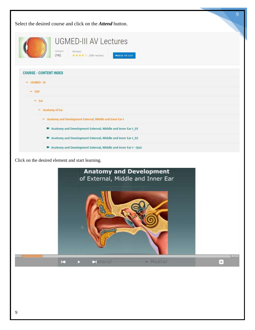| 9<br>Select the desired course and click on the <i>Attend</i> button.                                                   |
|-------------------------------------------------------------------------------------------------------------------------|
| <b>UGMED-III AV Lectures</b><br>Lessons;<br>Reviews<br>★★★★☆ (300 review)<br>(742)<br><b>+BACK TO LIST</b>              |
| <b>COURSE - CONTENT INDEX</b>                                                                                           |
| $-$ UGMED - III                                                                                                         |
| $-$ ENT                                                                                                                 |
| $-$ Ear                                                                                                                 |
| - Anatomy of Ear                                                                                                        |
| - Anatomy and Development External, Middle and Inner Ear-I                                                              |
| Anatomy and Development External, Middle and Inner Ear-I_01                                                             |
| Anatomy and Development External, Middle and Inner Ear-I_02                                                             |
| Anatomy and Development External, Middle and Inner Ear-I - Quiz                                                         |
| Click on the desired element and start learning.<br><b>Anatomy and Development</b><br>of External, Middle and Inner Ear |

**DEFEND** 

 $\boxed{\mathbf{x}}$ 

 $\mathbf{r}$ 

P.

**Sateral** 

 $\blacktriangleright$  Medial